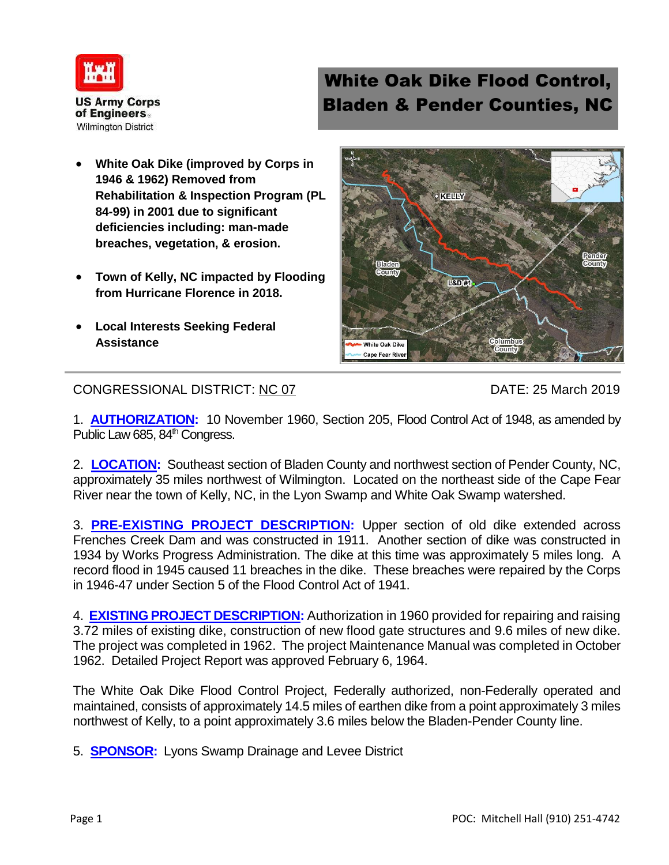

## White Oak Dike Flood Control, Bladen & Pender Counties, NC

- **White Oak Dike (improved by Corps in 1946 & 1962) Removed from Rehabilitation & Inspection Program (PL 84-99) in 2001 due to significant deficiencies including: man-made breaches, vegetation, & erosion.**
- **Town of Kelly, NC impacted by Flooding from Hurricane Florence in 2018.**
- **Local Interests Seeking Federal Assistance**



CONGRESSIONAL DISTRICT: NC 07 DATE: 25 March 2019

1. **AUTHORIZATION:** 10 November 1960, Section 205, Flood Control Act of 1948, as amended by Public Law 685, 84<sup>th</sup> Congress.

2. **LOCATION:** Southeast section of Bladen County and northwest section of Pender County, NC, approximately 35 miles northwest of Wilmington. Located on the northeast side of the Cape Fear River near the town of Kelly, NC, in the Lyon Swamp and White Oak Swamp watershed.

3. **PRE-EXISTING PROJECT DESCRIPTION:** Upper section of old dike extended across Frenches Creek Dam and was constructed in 1911. Another section of dike was constructed in 1934 by Works Progress Administration. The dike at this time was approximately 5 miles long. A record flood in 1945 caused 11 breaches in the dike. These breaches were repaired by the Corps in 1946-47 under Section 5 of the Flood Control Act of 1941.

4. **EXISTING PROJECT DESCRIPTION:** Authorization in 1960 provided for repairing and raising 3.72 miles of existing dike, construction of new flood gate structures and 9.6 miles of new dike. The project was completed in 1962. The project Maintenance Manual was completed in October 1962. Detailed Project Report was approved February 6, 1964.

The White Oak Dike Flood Control Project, Federally authorized, non-Federally operated and maintained, consists of approximately 14.5 miles of earthen dike from a point approximately 3 miles northwest of Kelly, to a point approximately 3.6 miles below the Bladen-Pender County line.

5. **SPONSOR:** Lyons Swamp Drainage and Levee District